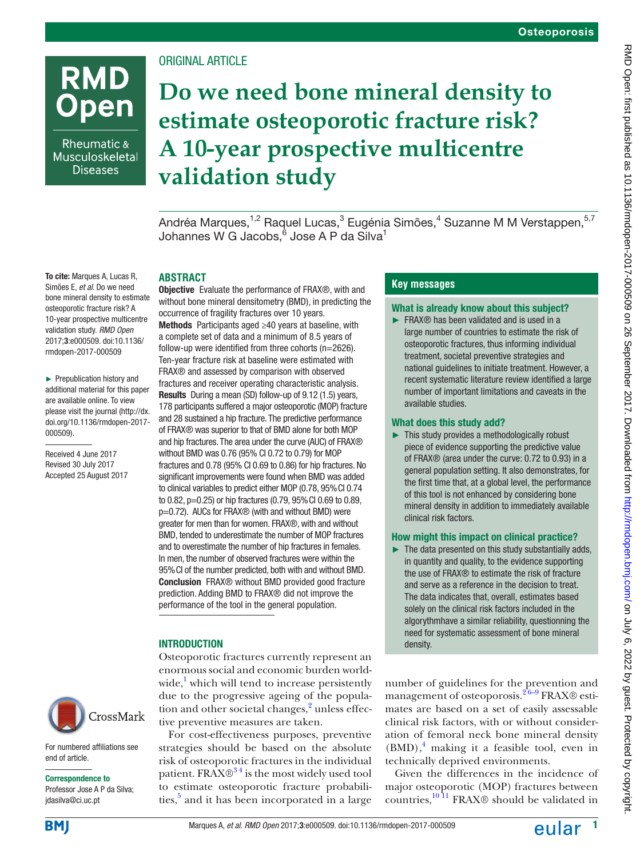# **RMD Open**

Rheumatic & Musculoskeletal **Diseases** 

## Original article

## **Do we need bone mineral density to estimate osteoporotic fracture risk? A 10-year prospective multicentre validation study**

Andréa Marques,<sup>1,2</sup> Raquel Lucas,<sup>3</sup> Eugénia Simões,<sup>4</sup> Suzanne M M Verstappen,<sup>5,7</sup> Johannes W G Jacobs, $^6$  Jose A P da Silva $^1$ 

## **Abstract**

To cite: Marques A, Lucas R, Simões E, *et al*. Do we need bone mineral density to estimate osteoporotic fracture risk? A 10-year prospective multicentre validation study. *RMD Open* 2017;3:e000509. doi:10.1136/ rmdopen-2017-000509

► Prepublication history and additional material for this paper are available online. To view please visit the journal [\(http://dx.](http://dx.doi.org/10.1136/rmdopen-2017-000509) [doi.org/10.1136/rmdopen-2017-](http://dx.doi.org/10.1136/rmdopen-2017-000509) [000509](http://dx.doi.org/10.1136/rmdopen-2017-000509)).

Received 4 June 2017 Revised 30 July 2017 Accepted 25 August 2017



For numbered affiliations see end of article.

#### Correspondence to

Professor Jose A P da Silva; jdasilva@ci.uc.pt

Objective Evaluate the performance of FRAX®, with and without bone mineral densitometry (BMD), in predicting the occurrence of fragility fractures over 10 years. Methods Participants aged ≥40 years at baseline, with a complete set of data and a minimum of 8.5 years of follow-up were identified from three cohorts (n=2626). Ten-year fracture risk at baseline were estimated with FRAX® and assessed by comparison with observed fractures and receiver operating characteristic analysis. Results During a mean (SD) follow-up of 9.12 (1.5) years, 178 participants suffered a major osteoporotic (MOP) fracture and 28 sustained a hip fracture. The predictive performance of FRAX® was superior to that of BMD alone for both MOP and hip fractures. The area under the curve (AUC) of FRAX<sup>®</sup> without BMD was 0.76 (95% CI 0.72 to 0.79) for MOP fractures and 0.78 (95% CI 0.69 to 0.86) for hip fractures. No significant improvements were found when BMD was added to clinical variables to predict either MOP (0.78, 95% CI 0.74 to 0.82, p=0.25) or hip fractures (0.79, 95% CI 0.69 to 0.89,

p=0.72). AUCs for FRAX® (with and without BMD) were greater for men than for women. FRAX®, with and without BMD, tended to underestimate the number of MOP fractures and to overestimate the number of hip fractures in females. In men, the number of observed fractures were within the 95% CI of the number predicted, both with and without BMD. Conclusion FRAX® without BMD provided good fracture prediction. Adding BMD to FRAX® did not improve the performance of the tool in the general population.

## **INTRODUCTION**

Osteoporotic fractures currently represent an enormous social and economic burden world-wide,<sup>[1](#page-6-0)</sup> which will tend to increase persistently due to the progressive ageing of the popula-tion and other societal changes,<sup>[2](#page-6-1)</sup> unless effective preventive measures are taken.

For cost-effectiveness purposes, preventive strategies should be based on the absolute risk of osteoporotic fractures in the individual patient. FRAX $\mathbb{R}^3$ <sup>34</sup> is the most widely used tool to estimate osteoporotic fracture probabilities,<sup>5</sup> and it has been incorporated in a large

## **Key messages**

## What is already know about this subject?

► FRAX® has been validated and is used in a large number of countries to estimate the risk of osteoporotic fractures, thus informing individual treatment, societal preventive strategies and national guidelines to initiate treatment. However, a recent systematic literature review identified a large number of important limitations and caveats in the available studies.

## What does this study add?

► This study provides a methodologically robust piece of evidence supporting the predictive value of FRAX® (area under the curve: 0.72 to 0.93) in a general population setting. It also demonstrates, for the first time that, at a global level, the performance of this tool is not enhanced by considering bone mineral density in addition to immediately available clinical risk factors.

#### How might this impact on clinical practice?

 $\blacktriangleright$  The data presented on this study substantially adds, in quantity and quality, to the evidence supporting the use of FRAX® to estimate the risk of fracture and serve as a reference in the decision to treat. The data indicates that, overall, estimates based solely on the clinical risk factors included in the algorythmhave a similar reliability, questionning the need for systematic assessment of bone mineral density.

number of guidelines for the prevention and management of osteoporosis.<sup>26-9</sup> FRAX® estimates are based on a set of easily assessable clinical risk factors, with or without consideration of femoral neck bone mineral density (BMD),<sup>4</sup> making it a feasible tool, even in technically deprived environments.

Given the differences in the incidence of major osteoporotic (MOP) fractures between countries,[10 11](#page-6-5) FRAX® should be validated in

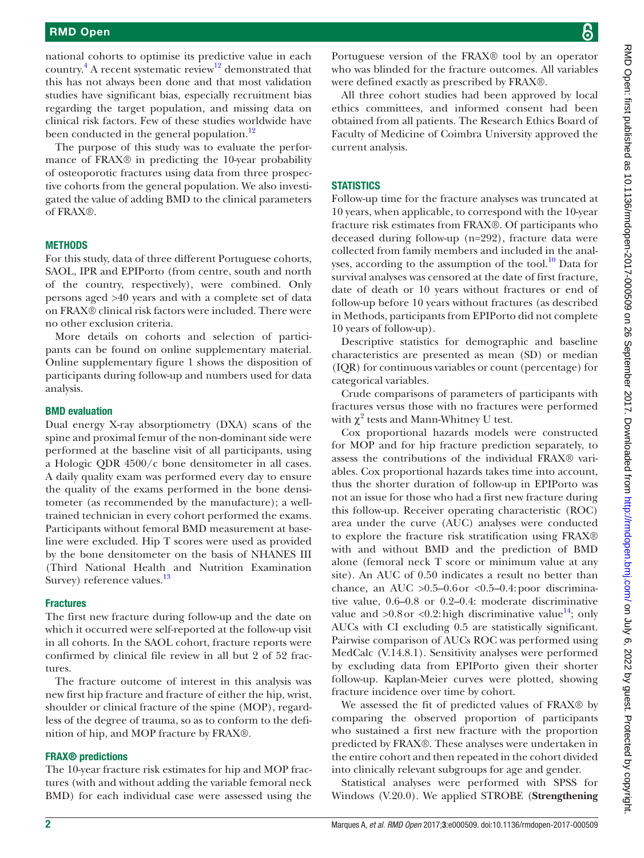national cohorts to optimise its predictive value in each country.<sup>[4](#page-6-4)</sup> A recent systematic review<sup>12</sup> demonstrated that this has not always been done and that most validation studies have significant bias, especially recruitment bias regarding the target population, and missing data on clinical risk factors. Few of these studies worldwide have been conducted in the general population.<sup>[12](#page-6-6)</sup>

The purpose of this study was to evaluate the performance of FRAX® in predicting the 10-year probability of osteoporotic fractures using data from three prospective cohorts from the general population. We also investigated the value of adding BMD to the clinical parameters of FRAX®.

#### **METHODS**

For this study, data of three different Portuguese cohorts, SAOL, IPR and EPIPorto (from centre, south and north of the country, respectively), were combined. Only persons aged >40 years and with a complete set of data on FRAX® clinical risk factors were included. There were no other exclusion criteria.

More details on cohorts and selection of participants can be found on online [supplementary material.](https://dx.doi.org/10.1136/rmdopen-2017-000509) Online [supplementary figure 1](https://dx.doi.org/10.1136/rmdopen-2017-000509) shows the disposition of participants during follow-up and numbers used for data analysis.

#### BMD evaluation

Dual energy X-ray absorptiometry (DXA) scans of the spine and proximal femur of the non-dominant side were performed at the baseline visit of all participants, using a Hologic QDR 4500/c bone densitometer in all cases. A daily quality exam was performed every day to ensure the quality of the exams performed in the bone densitometer (as recommended by the manufacture); a welltrained technician in every cohort performed the exams. Participants without femoral BMD measurement at baseline were excluded. Hip T scores were used as provided by the bone densitometer on the basis of NHANES III (Third National Health and Nutrition Examination Survey) reference values.<sup>[13](#page-6-7)</sup>

#### **Fractures**

The first new fracture during follow-up and the date on which it occurred were self-reported at the follow-up visit in all cohorts. In the SAOL cohort, fracture reports were confirmed by clinical file review in all but 2 of 52 fractures.

The fracture outcome of interest in this analysis was new first hip fracture and fracture of either the hip, wrist, shoulder or clinical fracture of the spine (MOP), regardless of the degree of trauma, so as to conform to the definition of hip, and MOP fracture by FRAX®.

#### FRAX® predictions

The 10-year fracture risk estimates for hip and MOP fractures (with and without adding the variable femoral neck BMD) for each individual case were assessed using the

Portuguese version of the FRAX® tool by an operator who was blinded for the fracture outcomes. All variables were defined exactly as prescribed by FRAX®.

All three cohort studies had been approved by local ethics committees, and informed consent had been obtained from all patients. The Research Ethics Board of Faculty of Medicine of Coimbra University approved the current analysis.

#### **STATISTICS**

Follow-up time for the fracture analyses was truncated at 10 years, when applicable, to correspond with the 10-year fracture risk estimates from FRAX®. Of participants who deceased during follow-up (n=292), fracture data were collected from family members and included in the analyses, according to the assumption of the tool. $10$  Data for survival analyses was censored at the date of first fracture, date of death or 10 years without fractures or end of follow-up before 10 years without fractures (as described in Methods, participants from EPIPorto did not complete 10 years of follow-up).

Descriptive statistics for demographic and baseline characteristics are presented as mean (SD) or median (IQR) for continuous variables or count (percentage) for categorical variables.

Crude comparisons of parameters of participants with fractures versus those with no fractures were performed with  $\chi^2$  tests and Mann-Whitney U test.

Cox proportional hazards models were constructed for MOP and for hip fracture prediction separately, to assess the contributions of the individual FRAX® variables. Cox proportional hazards takes time into account, thus the shorter duration of follow-up in EPIPorto was not an issue for those who had a first new fracture during this follow-up. Receiver operating characteristic (ROC) area under the curve (AUC) analyses were conducted to explore the fracture risk stratification using FRAX® with and without BMD and the prediction of BMD alone (femoral neck T score or minimum value at any site). An AUC of 0.50 indicates a result no better than chance, an AUC  $>0.5-0.6$  or  $<0.5-0.4$ : poor discriminative value, 0.6–0.8 or 0.2–0.4: moderate discriminative value and  $>0.8$  or  $< 0.2$ : high discriminative value<sup>14</sup>; only AUCs with CI excluding 0.5 are statistically significant. Pairwise comparison of AUCs ROC was performed using MedCalc (V.14.8.1). Sensitivity analyses were performed by excluding data from EPIPorto given their shorter follow-up. Kaplan-Meier curves were plotted, showing fracture incidence over time by cohort.

We assessed the fit of predicted values of FRAX® by comparing the observed proportion of participants who sustained a first new fracture with the proportion predicted by FRAX®. These analyses were undertaken in the entire cohort and then repeated in the cohort divided into clinically relevant subgroups for age and gender.

Statistical analyses were performed with SPSS for Windows (V.20.0). We applied STROBE (**Strengthening**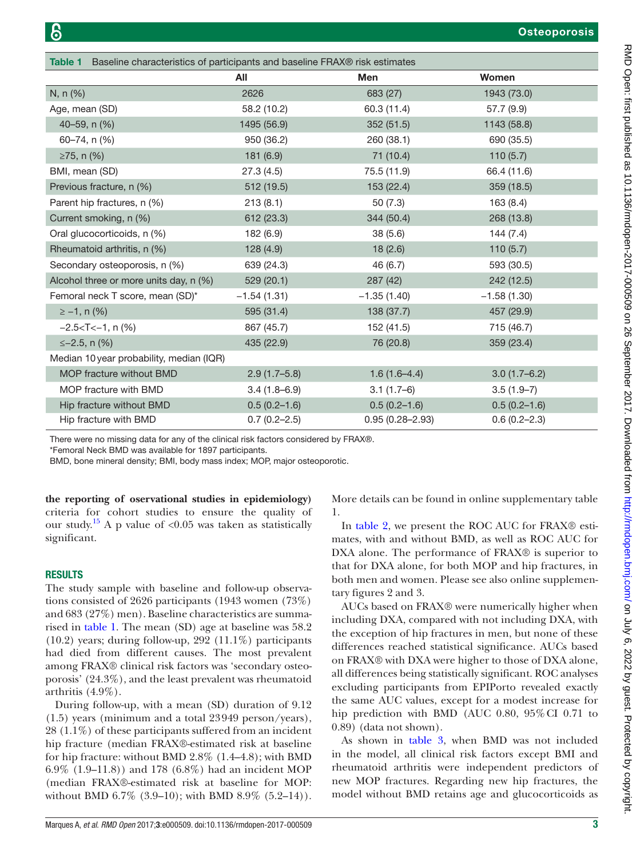<span id="page-2-0"></span>

| Baseline characteristics of participants and baseline FRAX® risk estimates<br><b>Table 1</b> |                  |                     |                  |  |  |  |
|----------------------------------------------------------------------------------------------|------------------|---------------------|------------------|--|--|--|
|                                                                                              | All              | <b>Men</b>          | Women            |  |  |  |
| N, n (%)                                                                                     | 2626             | 683 (27)            | 1943 (73.0)      |  |  |  |
| Age, mean (SD)                                                                               | 58.2 (10.2)      | 60.3 (11.4)         | 57.7 (9.9)       |  |  |  |
| 40-59, n (%)                                                                                 | 1495 (56.9)      | 352 (51.5)          | 1143 (58.8)      |  |  |  |
| 60-74, n (%)                                                                                 | 950 (36.2)       | 260 (38.1)          | 690 (35.5)       |  |  |  |
| ≥75, n $(%)$                                                                                 | 181 (6.9)        | 71 (10.4)           | 110(5.7)         |  |  |  |
| BMI, mean (SD)                                                                               | 27.3(4.5)        | 75.5 (11.9)         | 66.4 (11.6)      |  |  |  |
| Previous fracture, n (%)                                                                     | 512 (19.5)       | 153 (22.4)          | 359 (18.5)       |  |  |  |
| Parent hip fractures, n (%)                                                                  | 213(8.1)         | 50(7.3)             | 163 (8.4)        |  |  |  |
| Current smoking, n (%)                                                                       | 612 (23.3)       | 344 (50.4)          | 268 (13.8)       |  |  |  |
| Oral glucocorticoids, n (%)                                                                  | 182 (6.9)        | 38(5.6)             | 144 (7.4)        |  |  |  |
| Rheumatoid arthritis, n (%)                                                                  | 128 (4.9)        | 18(2.6)             | 110(5.7)         |  |  |  |
| Secondary osteoporosis, n (%)                                                                | 639 (24.3)       | 46 (6.7)            | 593 (30.5)       |  |  |  |
| Alcohol three or more units day, n (%)                                                       | 529 (20.1)       | 287 (42)            | 242 (12.5)       |  |  |  |
| Femoral neck T score, mean (SD)*                                                             | $-1.54(1.31)$    | $-1.35(1.40)$       | $-1.58(1.30)$    |  |  |  |
| $\ge -1$ , n (%)                                                                             | 595 (31.4)       | 138 (37.7)          | 457 (29.9)       |  |  |  |
| $-2.5 < T < -1$ , n $(\%)$                                                                   | 867 (45.7)       | 152 (41.5)          | 715 (46.7)       |  |  |  |
| $\leq -2.5$ , n (%)                                                                          | 435 (22.9)       | 76 (20.8)           | 359 (23.4)       |  |  |  |
| Median 10 year probability, median (IQR)                                                     |                  |                     |                  |  |  |  |
| MOP fracture without BMD                                                                     | $2.9(1.7-5.8)$   | $1.6(1.6-4.4)$      | $3.0(1.7-6.2)$   |  |  |  |
| MOP fracture with BMD                                                                        | $3.4(1.8-6.9)$   | $3.1(1.7-6)$        | $3.5(1.9-7)$     |  |  |  |
| Hip fracture without BMD                                                                     | $0.5(0.2 - 1.6)$ | $0.5(0.2 - 1.6)$    | $0.5(0.2 - 1.6)$ |  |  |  |
| Hip fracture with BMD                                                                        | $0.7(0.2 - 2.5)$ | $0.95(0.28 - 2.93)$ | $0.6(0.2 - 2.3)$ |  |  |  |

There were no missing data for any of the clinical risk factors considered by FRAX®.

\*Femoral Neck BMD was available for 1897 participants.

BMD, bone mineral density; BMI, body mass index; MOP, major osteoporotic.

**the reporting of oservational studies in epidemiology)** criteria for cohort studies to ensure the quality of our study.<sup>15</sup> A p value of <0.05 was taken as statistically significant.

## **RESULTS**

The study sample with baseline and follow-up observations consisted of 2626 participants (1943 women (73%) and 683 (27%) men). Baseline characteristics are summarised in [table](#page-2-0) 1. The mean (SD) age at baseline was 58.2  $(10.2)$  years; during follow-up, 292  $(11.1\%)$  participants had died from different causes. The most prevalent among FRAX® clinical risk factors was 'secondary osteoporosis' (24.3%), and the least prevalent was rheumatoid arthritis (4.9%).

During follow-up, with a mean (SD) duration of 9.12 (1.5) years (minimum and a total 23949 person/years), 28 (1.1%) of these participants suffered from an incident hip fracture (median FRAX®-estimated risk at baseline for hip fracture: without BMD 2.8% (1.4–4.8); with BMD 6.9% (1.9–11.8)) and 178 (6.8%) had an incident MOP (median FRAX®-estimated risk at baseline for MOP: without BMD 6.7% (3.9–10); with BMD 8.9% (5.2–14)).

More details can be found in online [supplementary table](https://dx.doi.org/10.1136/rmdopen-2017-000509) [1](https://dx.doi.org/10.1136/rmdopen-2017-000509).

In [table](#page-3-0) 2, we present the ROC AUC for FRAX<sup>®</sup> estimates, with and without BMD, as well as ROC AUC for DXA alone. The performance of FRAX® is superior to that for DXA alone, for both MOP and hip fractures, in both men and women. Please see also online [supplemen](https://dx.doi.org/10.1136/rmdopen-2017-000509)[tary figures 2 and 3](https://dx.doi.org/10.1136/rmdopen-2017-000509).

AUCs based on FRAX® were numerically higher when including DXA, compared with not including DXA, with the exception of hip fractures in men, but none of these differences reached statistical significance. AUCs based on FRAX® with DXA were higher to those of DXA alone, all differences being statistically significant. ROC analyses excluding participants from EPIPorto revealed exactly the same AUC values, except for a modest increase for hip prediction with BMD (AUC 0.80, 95% CI 0.71 to 0.89) (data not shown).

As shown in [table](#page-3-1) 3, when BMD was not included in the model, all clinical risk factors except BMI and rheumatoid arthritis were independent predictors of new MOP fractures. Regarding new hip fractures, the model without BMD retains age and glucocorticoids as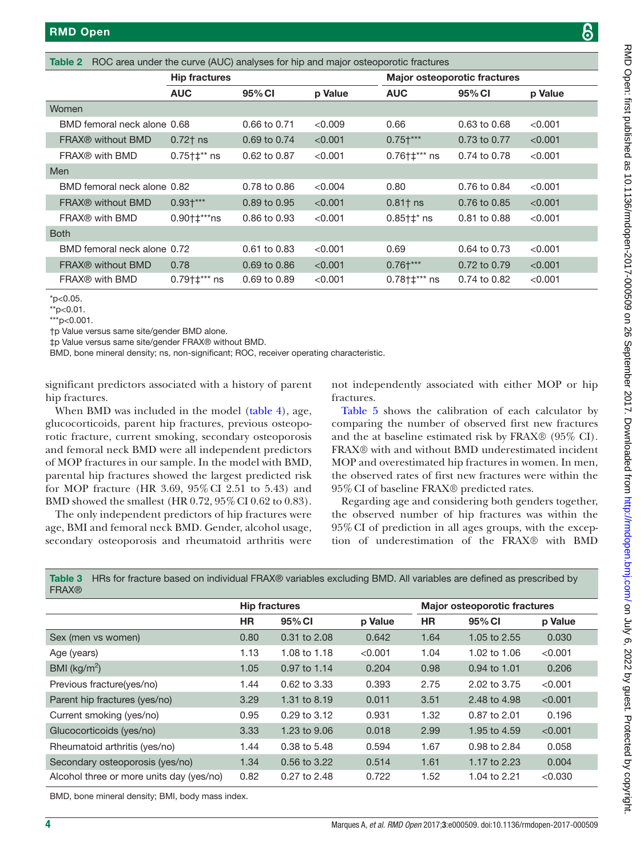<span id="page-3-0"></span>

| ROC area under the curve (AUC) analyses for hip and major osteoporotic fractures<br>Table 2 |                             |                                           |                  |         |                                     |              |         |  |
|---------------------------------------------------------------------------------------------|-----------------------------|-------------------------------------------|------------------|---------|-------------------------------------|--------------|---------|--|
|                                                                                             |                             | <b>Hip fractures</b>                      |                  |         | <b>Major osteoporotic fractures</b> |              |         |  |
|                                                                                             |                             | <b>AUC</b>                                | 95% CI           | p Value | <b>AUC</b>                          | 95% CI       | p Value |  |
|                                                                                             | Women                       |                                           |                  |         |                                     |              |         |  |
|                                                                                             | BMD femoral neck alone 0.68 |                                           | 0.66 to 0.71     | < 0.009 | 0.66                                | 0.63 to 0.68 | < 0.001 |  |
|                                                                                             | FRAX® without BMD           | $0.72$ † ns                               | 0.69 to 0.74     | < 0.001 | $0.75+***$                          | 0.73 to 0.77 | < 0.001 |  |
|                                                                                             | FRAX <sup>®</sup> with BMD  | $0.75$ † $\ddagger$ ** ns                 | 0.62 to 0.87     | < 0.001 | $0.76$ † $\ddagger$ *** ns          | 0.74 to 0.78 | < 0.001 |  |
|                                                                                             | Men                         |                                           |                  |         |                                     |              |         |  |
|                                                                                             | BMD femoral neck alone 0.82 |                                           | 0.78 to 0.86     | < 0.004 | 0.80                                | 0.76 to 0.84 | < 0.001 |  |
|                                                                                             | FRAX® without BMD           | $0.93+***$                                | 0.89 to 0.95     | < 0.001 | $0.81$ t ns                         | 0.76 to 0.85 | < 0.001 |  |
|                                                                                             | FRAX® with BMD              | $0.90$ <sup>+<math>\pm</math>***ns</sup>  | 0.86 to 0.93     | < 0.001 | $0.85 + t^*$ ns                     | 0.81 to 0.88 | < 0.001 |  |
| <b>Both</b>                                                                                 |                             |                                           |                  |         |                                     |              |         |  |
|                                                                                             | BMD femoral neck alone 0.72 |                                           | $0.61$ to $0.83$ | < 0.001 | 0.69                                | 0.64 to 0.73 | < 0.001 |  |
|                                                                                             | FRAX® without BMD           | 0.78                                      | 0.69 to 0.86     | < 0.001 | $0.76+***$                          | 0.72 to 0.79 | < 0.001 |  |
|                                                                                             | FRAX <sup>®</sup> with BMD  | $0.79$ <sup>+<math>\pm</math>***</sup> ns | 0.69 to 0.89     | < 0.001 | $0.78$ † $\ddagger$ *** ns          | 0.74 to 0.82 | < 0.001 |  |
|                                                                                             |                             |                                           |                  |         |                                     |              |         |  |

\*p<0.05.

 $*$ p<0.01.

\*\*\*p<0.001.

†p Value versus same site/gender BMD alone.

‡p Value versus same site/gender FRAX® without BMD.

BMD, bone mineral density; ns, non-significant; ROC, receiver operating characteristic.

significant predictors associated with a history of parent hip fractures.

When BMD was included in the model ([table](#page-4-0) 4), age, glucocorticoids, parent hip fractures, previous osteoporotic fracture, current smoking, secondary osteoporosis and femoral neck BMD were all independent predictors of MOP fractures in our sample. In the model with BMD, parental hip fractures showed the largest predicted risk for MOP fracture (HR 3.69, 95%CI 2.51 to 5.43) and BMD showed the smallest (HR 0.72, 95% CI 0.62 to 0.83).

The only independent predictors of hip fractures were age, BMI and femoral neck BMD. Gender, alcohol usage, secondary osteoporosis and rheumatoid arthritis were

not independently associated with either MOP or hip fractures.

[Table](#page-4-1) 5 shows the calibration of each calculator by comparing the number of observed first new fractures and the at baseline estimated risk by FRAX® (95% CI). FRAX® with and without BMD underestimated incident MOP and overestimated hip fractures in women. In men, the observed rates of first new fractures were within the 95%CI of baseline FRAX® predicted rates.

Regarding age and considering both genders together, the observed number of hip fractures was within the 95%CI of prediction in all ages groups, with the exception of underestimation of the FRAX® with BMD

| <b>FRAX®</b>                             |                      |                  |                                     |           |              |         |  |
|------------------------------------------|----------------------|------------------|-------------------------------------|-----------|--------------|---------|--|
|                                          | <b>Hip fractures</b> |                  | <b>Major osteoporotic fractures</b> |           |              |         |  |
|                                          | <b>HR</b>            | 95% CI           | p Value                             | <b>HR</b> | 95% CI       | p Value |  |
| Sex (men vs women)                       | 0.80                 | 0.31 to 2.08     | 0.642                               | 1.64      | 1.05 to 2.55 | 0.030   |  |
| Age (years)                              | 1.13                 | 1.08 to 1.18     | < 0.001                             | 1.04      | 1.02 to 1.06 | < 0.001 |  |
| BMI ( $\text{kg/m}^2$ )                  | 1.05                 | 0.97 to 1.14     | 0.204                               | 0.98      | 0.94 to 1.01 | 0.206   |  |
| Previous fracture(yes/no)                | 1.44                 | 0.62 to 3.33     | 0.393                               | 2.75      | 2.02 to 3.75 | < 0.001 |  |
| Parent hip fractures (yes/no)            | 3.29                 | 1.31 to 8.19     | 0.011                               | 3.51      | 2.48 to 4.98 | < 0.001 |  |
| Current smoking (yes/no)                 | 0.95                 | $0.29$ to $3.12$ | 0.931                               | 1.32      | 0.87 to 2.01 | 0.196   |  |
| Glucocorticoids (yes/no)                 | 3.33                 | 1.23 to 9.06     | 0.018                               | 2.99      | 1.95 to 4.59 | < 0.001 |  |
| Rheumatoid arthritis (yes/no)            | 1.44                 | 0.38 to 5.48     | 0.594                               | 1.67      | 0.98 to 2.84 | 0.058   |  |
| Secondary osteoporosis (yes/no)          | 1.34                 | 0.56 to 3.22     | 0.514                               | 1.61      | 1.17 to 2.23 | 0.004   |  |
| Alcohol three or more units day (yes/no) | 0.82                 | 0.27 to 2.48     | 0.722                               | 1.52      | 1.04 to 2.21 | < 0.030 |  |
|                                          |                      |                  |                                     |           |              |         |  |

<span id="page-3-1"></span>Table 3 HRs for fracture based on individual FRAX® variables excluding BMD. All variables are defined as prescribed by

BMD, bone mineral density; BMI, body mass index.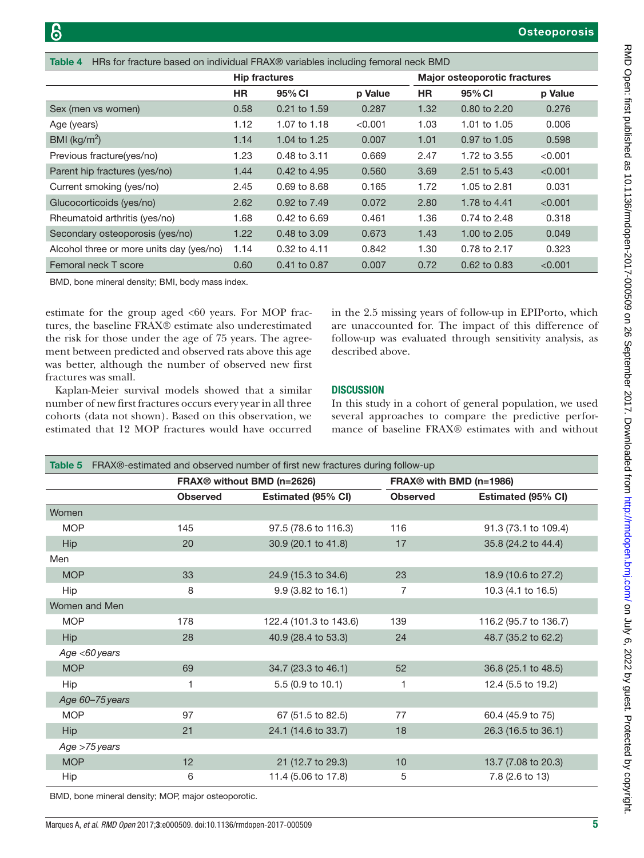<span id="page-4-0"></span>

| HRs for fracture based on individual FRAX® variables including femoral neck BMD<br>Table 4 |                      |              |                                     |           |              |         |
|--------------------------------------------------------------------------------------------|----------------------|--------------|-------------------------------------|-----------|--------------|---------|
|                                                                                            | <b>Hip fractures</b> |              | <b>Major osteoporotic fractures</b> |           |              |         |
|                                                                                            | <b>HR</b>            | 95% CI       | p Value                             | <b>HR</b> | 95% CI       | p Value |
| Sex (men vs women)                                                                         | 0.58                 | 0.21 to 1.59 | 0.287                               | 1.32      | 0.80 to 2.20 | 0.276   |
| Age (years)                                                                                | 1.12                 | 1.07 to 1.18 | < 0.001                             | 1.03      | 1.01 to 1.05 | 0.006   |
| BMI ( $\text{kg/m}^2$ )                                                                    | 1.14                 | 1.04 to 1.25 | 0.007                               | 1.01      | 0.97 to 1.05 | 0.598   |
| Previous fracture(yes/no)                                                                  | 1.23                 | 0.48 to 3.11 | 0.669                               | 2.47      | 1.72 to 3.55 | < 0.001 |
| Parent hip fractures (yes/no)                                                              | 1.44                 | 0.42 to 4.95 | 0.560                               | 3.69      | 2.51 to 5.43 | < 0.001 |
| Current smoking (yes/no)                                                                   | 2.45                 | 0.69 to 8.68 | 0.165                               | 1.72      | 1.05 to 2.81 | 0.031   |
| Glucocorticoids (yes/no)                                                                   | 2.62                 | 0.92 to 7.49 | 0.072                               | 2.80      | 1.78 to 4.41 | < 0.001 |
| Rheumatoid arthritis (yes/no)                                                              | 1.68                 | 0.42 to 6.69 | 0.461                               | 1.36      | 0.74 to 2.48 | 0.318   |
| Secondary osteoporosis (yes/no)                                                            | 1.22                 | 0.48 to 3.09 | 0.673                               | 1.43      | 1.00 to 2.05 | 0.049   |
| Alcohol three or more units day (yes/no)                                                   | 1.14                 | 0.32 to 4.11 | 0.842                               | 1.30      | 0.78 to 2.17 | 0.323   |
| Femoral neck T score                                                                       | 0.60                 | 0.41 to 0.87 | 0.007                               | 0.72      | 0.62 to 0.83 | < 0.001 |

BMD, bone mineral density; BMI, body mass index.

estimate for the group aged  $<00$  years. For MOP fractures, the baseline FRAX® estimate also underestimated the risk for those under the age of 75 years. The agreement between predicted and observed rats above this age was better, although the number of observed new first fractures was small.

Kaplan-Meier survival models showed that a similar number of new first fractures occurs every year in all three cohorts (data not shown). Based on this observation, we estimated that 12 MOP fractures would have occurred in the 2.5 missing years of follow-up in EPIPorto, which are unaccounted for. The impact of this difference of follow-up was evaluated through sensitivity analysis, as described above.

## **DISCUSSION**

In this study in a cohort of general population, we used several approaches to compare the predictive performance of baseline FRAX® estimates with and without

<span id="page-4-1"></span>

| Table 5       | FRAX®-estimated and observed number of first new fractures during follow-up |                                        |                 |                                     |  |  |
|---------------|-----------------------------------------------------------------------------|----------------------------------------|-----------------|-------------------------------------|--|--|
|               |                                                                             | FRAX <sup>®</sup> without BMD (n=2626) |                 | FRAX <sup>®</sup> with BMD (n=1986) |  |  |
|               | <b>Observed</b>                                                             | Estimated (95% CI)                     | <b>Observed</b> | Estimated (95% CI)                  |  |  |
| Women         |                                                                             |                                        |                 |                                     |  |  |
| <b>MOP</b>    | 145                                                                         | 97.5 (78.6 to 116.3)                   | 116             | 91.3 (73.1 to 109.4)                |  |  |
| Hip           | 20                                                                          | 30.9 (20.1 to 41.8)                    | 17              | 35.8 (24.2 to 44.4)                 |  |  |
| Men           |                                                                             |                                        |                 |                                     |  |  |
| <b>MOP</b>    | 33                                                                          | 24.9 (15.3 to 34.6)                    | 23              | 18.9 (10.6 to 27.2)                 |  |  |
| Hip           | 8                                                                           | 9.9 (3.82 to 16.1)                     | 7               | 10.3 (4.1 to 16.5)                  |  |  |
| Women and Men |                                                                             |                                        |                 |                                     |  |  |
| <b>MOP</b>    | 178                                                                         | 122.4 (101.3 to 143.6)                 | 139             | 116.2 (95.7 to 136.7)               |  |  |
| <b>Hip</b>    | 28                                                                          | 40.9 (28.4 to 53.3)                    | 24              | 48.7 (35.2 to 62.2)                 |  |  |
|               | Age <60 years                                                               |                                        |                 |                                     |  |  |
| <b>MOP</b>    | 69                                                                          | 34.7 (23.3 to 46.1)                    | 52              | 36.8 (25.1 to 48.5)                 |  |  |
| Hip           |                                                                             | 5.5 (0.9 to 10.1)                      | 1               | 12.4 (5.5 to 19.2)                  |  |  |
|               | Age 60-75 years                                                             |                                        |                 |                                     |  |  |
| <b>MOP</b>    | 97                                                                          | 67 (51.5 to 82.5)                      | 77              | 60.4 (45.9 to 75)                   |  |  |
| <b>Hip</b>    | 21                                                                          | 24.1 (14.6 to 33.7)                    | 18              | 26.3 (16.5 to 36.1)                 |  |  |
|               | Age >75 years                                                               |                                        |                 |                                     |  |  |
| <b>MOP</b>    | 12                                                                          | 21 (12.7 to 29.3)                      | 10              | 13.7 (7.08 to 20.3)                 |  |  |
| Hip           | 6                                                                           | 11.4 (5.06 to 17.8)                    | 5               | 7.8 (2.6 to 13)                     |  |  |

BMD, bone mineral density; MOP, major osteoporotic.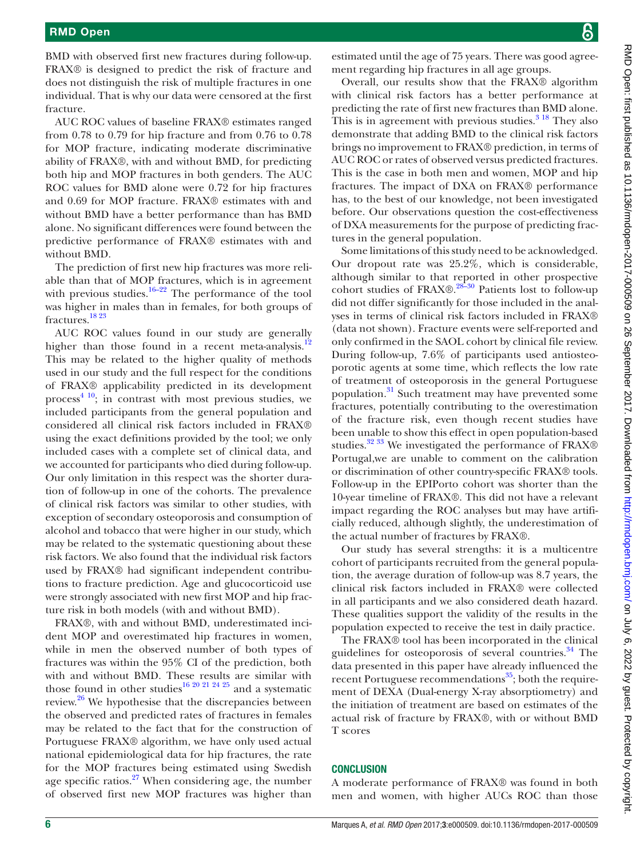BMD with observed first new fractures during follow-up. FRAX® is designed to predict the risk of fracture and does not distinguish the risk of multiple fractures in one individual. That is why our data were censored at the first fracture.

AUC ROC values of baseline FRAX® estimates ranged from 0.78 to 0.79 for hip fracture and from 0.76 to 0.78 for MOP fracture, indicating moderate discriminative ability of FRAX®, with and without BMD, for predicting both hip and MOP fractures in both genders. The AUC ROC values for BMD alone were 0.72 for hip fractures and 0.69 for MOP fracture. FRAX® estimates with and without BMD have a better performance than has BMD alone. No significant differences were found between the predictive performance of FRAX® estimates with and without BMD.

The prediction of first new hip fractures was more reliable than that of MOP fractures, which is in agreement with previous studies.<sup>16–22</sup> The performance of the tool was higher in males than in females, for both groups of fractures.[18 23](#page-6-11)

AUC ROC values found in our study are generally higher than those found in a recent meta-analysis.<sup>12</sup> This may be related to the higher quality of methods used in our study and the full respect for the conditions of FRAX® applicability predicted in its development process<sup>4 10</sup>; in contrast with most previous studies, we included participants from the general population and considered all clinical risk factors included in FRAX® using the exact definitions provided by the tool; we only included cases with a complete set of clinical data, and we accounted for participants who died during follow-up. Our only limitation in this respect was the shorter duration of follow-up in one of the cohorts. The prevalence of clinical risk factors was similar to other studies, with exception of secondary osteoporosis and consumption of alcohol and tobacco that were higher in our study, which may be related to the systematic questioning about these risk factors. We also found that the individual risk factors used by FRAX® had significant independent contributions to fracture prediction. Age and glucocorticoid use were strongly associated with new first MOP and hip fracture risk in both models (with and without BMD).

FRAX®, with and without BMD, underestimated incident MOP and overestimated hip fractures in women, while in men the observed number of both types of fractures was within the 95% CI of the prediction, both with and without BMD. These results are similar with those found in other studies<sup>16 20 21 24 25</sup> and a systematic review.<sup>[26](#page-6-12)</sup> We hypothesise that the discrepancies between the observed and predicted rates of fractures in females may be related to the fact that for the construction of Portuguese FRAX® algorithm, we have only used actual national epidemiological data for hip fractures, the rate for the MOP fractures being estimated using Swedish age specific ratios. $27$  When considering age, the number of observed first new MOP fractures was higher than

estimated until the age of 75 years. There was good agreement regarding hip fractures in all age groups.

Overall, our results show that the FRAX® algorithm with clinical risk factors has a better performance at predicting the rate of first new fractures than BMD alone. This is in agreement with previous studies. $3^{18}$  They also demonstrate that adding BMD to the clinical risk factors brings no improvement to FRAX® prediction, in terms of AUC ROC or rates of observed versus predicted fractures. This is the case in both men and women, MOP and hip fractures. The impact of DXA on FRAX® performance has, to the best of our knowledge, not been investigated before. Our observations question the cost-effectiveness of DXA measurements for the purpose of predicting fractures in the general population.

Some limitations of this study need to be acknowledged. Our dropout rate was 25.2%, which is considerable, although similar to that reported in other prospective cohort studies of FRAX®.<sup>[28–30](#page-6-14)</sup> Patients lost to follow-up did not differ significantly for those included in the analyses in terms of clinical risk factors included in FRAX® (data not shown). Fracture events were self-reported and only confirmed in the SAOL cohort by clinical file review. During follow-up, 7.6% of participants used antiosteoporotic agents at some time, which reflects the low rate of treatment of osteoporosis in the general Portuguese population.<sup>31</sup> Such treatment may have prevented some fractures, potentially contributing to the overestimation of the fracture risk, even though recent studies have been unable to show this effect in open population-based studies.<sup>32</sup> <sup>33</sup> We investigated the performance of FRAX® Portugal,we are unable to comment on the calibration or discrimination of other country-specific FRAX® tools. Follow-up in the EPIPorto cohort was shorter than the 10-year timeline of FRAX®. This did not have a relevant impact regarding the ROC analyses but may have artificially reduced, although slightly, the underestimation of the actual number of fractures by FRAX®.

Our study has several strengths: it is a multicentre cohort of participants recruited from the general population, the average duration of follow-up was 8.7 years, the clinical risk factors included in FRAX® were collected in all participants and we also considered death hazard. These qualities support the validity of the results in the population expected to receive the test in daily practice.

The FRAX® tool has been incorporated in the clinical guidelines for osteoporosis of several countries.<sup>[34](#page-7-1)</sup> The data presented in this paper have already influenced the recent Portuguese recommendations<sup>[35](#page-7-2)</sup>; both the requirement of DEXA (Dual-energy X-ray absorptiometry) and the initiation of treatment are based on estimates of the actual risk of fracture by FRAX®, with or without BMD T scores

#### **CONCLUSION**

A moderate performance of FRAX® was found in both men and women, with higher AUCs ROC than those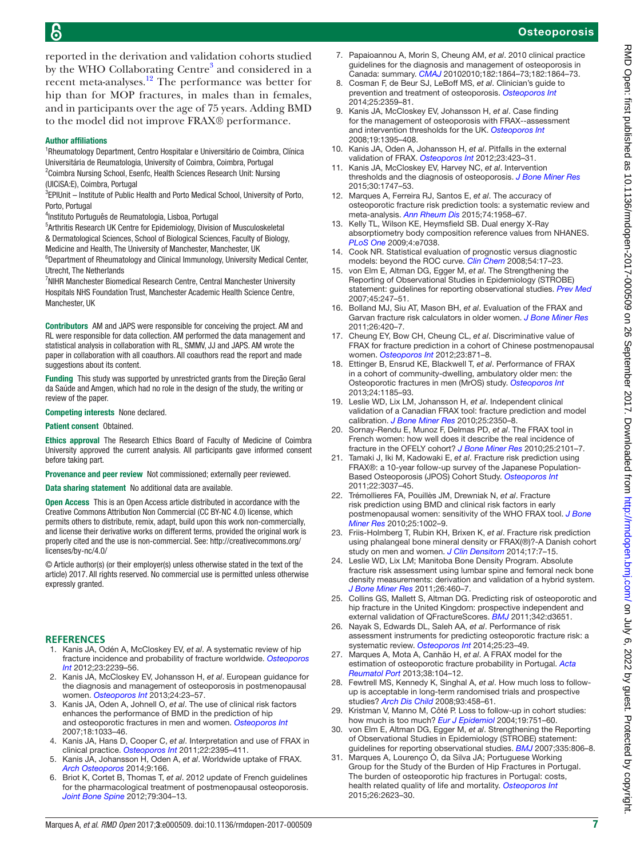- fracture risk assessment using lumbar spine and femoral neck bone density measurements: derivation and validation of a hybrid system. *[J Bone Miner Res](http://dx.doi.org/10.1002/jbmr.248)* 2011;26:460–7.
- assessment instruments for predicting osteoporotic fracture risk: a systematic review. *[Osteoporos Int](http://dx.doi.org/10.1007/s00198-013-2504-5)* 2014;25:23–49.
- <span id="page-6-13"></span>estimation of osteoporotic fracture probability in Portugal. *Acta Reumatol Port* 2013;38:104–12.
- <span id="page-6-14"></span>28. Fewtrell MS, Kennedy K, Singhal A, *et al*. How much loss to followup is acceptable in long-term randomised trials and prospective studies? *[Arch Dis Child](http://dx.doi.org/10.1136/adc.2007.127316)* 2008;93:458–61.
- 29. Kristman V, Manno M, Côté P. Loss to follow-up in cohort studies: how much is too much? *[Eur J Epidemiol](http://dx.doi.org/10.1023/B:EJEP.0000036568.02655.f8)* 2004;19:751–60.
- 30. von Elm E, Altman DG, Egger M, *et al*. Strengthening the Reporting of Observational Studies in Epidemiology (STROBE) statement: guidelines for reporting observational studies. *[BMJ](http://dx.doi.org/10.1136/bmj.39335.541782.AD)* 2007;335:806–8.
- <span id="page-6-15"></span>31. Marques A, Lourenço Ó, da Silva JA; Portuguese Working Group for the Study of the Burden of Hip Fractures in Portugal. The burden of osteoporotic hip fractures in Portugal: costs, health related quality of life and mortality. *[Osteoporos Int](http://dx.doi.org/10.1007/s00198-015-3171-5)* 2015;26:2623–30.

reported in the derivation and validation cohorts studied by the WHO Collaborating Centre<sup>[3](#page-6-2)</sup> and considered in a recent meta-analyses.[12](#page-6-6) The performance was better for hip than for MOP fractures, in males than in females, and in participants over the age of 75 years. Adding BMD to the model did not improve FRAX® performance.

## Author affiliations

<sup>1</sup>Rheumatology Department, Centro Hospitalar e Universitário de Coimbra, Clínica Universitária de Reumatologia, University of Coimbra, Coimbra, Portugal <sup>2</sup>Coimbra Nursing School, Esenfc, Health Sciences Research Unit: Nursing (UICiSA:E), Coimbra, Portugal

<sup>3</sup>EPIUnit - Institute of Public Health and Porto Medical School, University of Porto, Porto, Portugal

4 Instituto Português de Reumatologia, Lisboa, Portugal

5 Arthritis Research UK Centre for Epidemiology, Division of Musculoskeletal & Dermatological Sciences, School of Biological Sciences, Faculty of Biology, Medicine and Health, The University of Manchester, Manchester, UK

<sup>6</sup>Department of Rheumatology and Clinical Immunology, University Medical Center, Utrecht, The Netherlands

<sup>7</sup> NIHR Manchester Biomedical Research Centre, Central Manchester University Hospitals NHS Foundation Trust, Manchester Academic Health Science Centre, Manchester, UK

Contributors AM and JAPS were responsible for conceiving the project. AM and RL were responsible for data collection. AM performed the data management and statistical analysis in collaboration with RL, SMMV, JJ and JAPS. AM wrote the paper in collaboration with all coauthors. All coauthors read the report and made suggestions about its content.

Funding This study was supported by unrestricted grants from the Direção Geral da Saúde and Amgen, which had no role in the design of the study, the writing or review of the paper.

Competing interests None declared.

Patient consent Obtained.

Ethics approval The Research Ethics Board of Faculty of Medicine of Coimbra University approved the current analysis. All participants gave informed consent before taking part.

Provenance and peer review Not commissioned; externally peer reviewed.

Data sharing statement No additional data are available.

Open Access This is an Open Access article distributed in accordance with the Creative Commons Attribution Non Commercial (CC BY-NC 4.0) license, which permits others to distribute, remix, adapt, build upon this work non-commercially, and license their derivative works on different terms, provided the original work is properly cited and the use is non-commercial. See: [http://creativecommons.org/](http://creativecommons.org/licenses/by-nc/4.0/) [licenses/by-nc/4.0/](http://creativecommons.org/licenses/by-nc/4.0/)

© Article author(s) (or their employer(s) unless otherwise stated in the text of the article) 2017. All rights reserved. No commercial use is permitted unless otherwise expressly granted.

## **References**

- <span id="page-6-0"></span>1. Kanis JA, Odén A, McCloskey EV, *et al*. A systematic review of hip fracture incidence and probability of fracture worldwide. *[Osteoporos](http://dx.doi.org/10.1007/s00198-012-1964-3)  [Int](http://dx.doi.org/10.1007/s00198-012-1964-3)* 2012;23:2239–56.
- <span id="page-6-1"></span>2. Kanis JA, McCloskey EV, Johansson H, *et al*. European guidance for the diagnosis and management of osteoporosis in postmenopausal women. *[Osteoporos Int](http://dx.doi.org/10.1007/s00198-012-2074-y)* 2013;24:23–57.
- <span id="page-6-2"></span>3. Kanis JA, Oden A, Johnell O, *et al*. The use of clinical risk factors enhances the performance of BMD in the prediction of hip and osteoporotic fractures in men and women. *[Osteoporos Int](http://dx.doi.org/10.1007/s00198-007-0343-y)* 2007;18:1033–46.
- <span id="page-6-4"></span>4. Kanis JA, Hans D, Cooper C, *et al*. Interpretation and use of FRAX in clinical practice. *[Osteoporos Int](http://dx.doi.org/10.1007/s00198-011-1713-z)* 2011;22:2395–411.
- <span id="page-6-3"></span>5. Kanis JA, Johansson H, Oden A, *et al*. Worldwide uptake of FRAX. *[Arch Osteoporos](http://dx.doi.org/10.1007/s11657-013-0166-8)* 2014;9:166.
- 6. Briot K, Cortet B, Thomas T, *et al*. 2012 update of French guidelines for the pharmacological treatment of postmenopausal osteoporosis. *[Joint Bone Spine](http://dx.doi.org/10.1016/j.jbspin.2012.02.014)* 2012;79:304–13.
- 7. Papaioannou A, Morin S, Cheung AM, *et al*. 2010 clinical practice guidelines for the diagnosis and management of osteoporosis in Canada: summary. *[CMAJ](http://dx.doi.org/10.1503/cmaj.100771)* 20102010;182:1864–73;182:1864–73.
- 8. Cosman F, de Beur SJ, LeBoff MS, *et al*. Clinician's guide to prevention and treatment of osteoporosis. *[Osteoporos Int](http://dx.doi.org/10.1007/s00198-014-2794-2)* 2014;25:2359–81.
- 9. Kanis JA, McCloskey EV, Johansson H, *et al*. Case finding for the management of osteoporosis with FRAX--assessment and intervention thresholds for the UK. *[Osteoporos Int](http://dx.doi.org/10.1007/s00198-008-0712-1)* 2008;19:1395–408.
- <span id="page-6-5"></span>10. Kanis JA, Oden A, Johansson H, *et al*. Pitfalls in the external validation of FRAX. *[Osteoporos Int](http://dx.doi.org/10.1007/s00198-011-1846-0)* 2012;23:423–31.
- 11. Kanis JA, McCloskey EV, Harvey NC, *et al*. Intervention thresholds and the diagnosis of osteoporosis. *[J Bone Miner Res](http://dx.doi.org/10.1002/jbmr.2531)* 2015;30:1747–53.
- <span id="page-6-6"></span>12. Marques A, Ferreira RJ, Santos E, *et al*. The accuracy of osteoporotic fracture risk prediction tools: a systematic review and meta-analysis. *[Ann Rheum Dis](http://dx.doi.org/10.1136/annrheumdis-2015-207907)* 2015;74:1958–67.
- <span id="page-6-7"></span>13. Kelly TL, Wilson KE, Heymsfield SB. Dual energy X-Ray absorptiometry body composition reference values from NHANES. *[PLoS One](http://dx.doi.org/10.1371/journal.pone.0007038)* 2009;4:e7038.
- <span id="page-6-8"></span>14. Cook NR. Statistical evaluation of prognostic versus diagnostic models: beyond the ROC curve. *[Clin Chem](http://dx.doi.org/10.1373/clinchem.2007.096529)* 2008;54:17–23.
- <span id="page-6-9"></span>15. von Elm E, Altman DG, Egger M, *et al*. The Strengthening the Reporting of Observational Studies in Epidemiology (STROBE) statement: guidelines for reporting observational studies. *[Prev Med](http://dx.doi.org/10.1016/j.ypmed.2007.08.012)* 2007;45:247–51.
- <span id="page-6-10"></span>16. Bolland MJ, Siu AT, Mason BH, *et al*. Evaluation of the FRAX and Garvan fracture risk calculators in older women. *[J Bone Miner Res](http://dx.doi.org/10.1002/jbmr.215)* 2011;26:420–7.
- 17. Cheung EY, Bow CH, Cheung CL, *et al*. Discriminative value of FRAX for fracture prediction in a cohort of Chinese postmenopausal women. *[Osteoporos Int](http://dx.doi.org/10.1007/s00198-011-1647-5)* 2012;23:871–8.
- <span id="page-6-11"></span>18. Ettinger B, Ensrud KE, Blackwell T, *et al*. Performance of FRAX in a cohort of community-dwelling, ambulatory older men: the Osteoporotic fractures in men (MrOS) study. *[Osteoporos Int](http://dx.doi.org/10.1007/s00198-012-2215-3)* 2013;24:1185–93.
- 19. Leslie WD, Lix LM, Johansson H, *et al*. Independent clinical validation of a Canadian FRAX tool: fracture prediction and model calibration. *[J Bone Miner Res](http://dx.doi.org/10.1002/jbmr.123)* 2010;25:2350–8.
- 20. Sornay-Rendu E, Munoz F, Delmas PD, *et al*. The FRAX tool in French women: how well does it describe the real incidence of fracture in the OFELY cohort? *[J Bone Miner Res](http://dx.doi.org/10.1002/jbmr.106)* 2010;25:2101–7.
- 21. Tamaki J, Iki M, Kadowaki E, *et al*. Fracture risk prediction using FRAX®: a 10-year follow-up survey of the Japanese Population-Based Osteoporosis (JPOS) Cohort Study. *[Osteoporos Int](http://dx.doi.org/10.1007/s00198-011-1537-x)* 2011;22:3037–45.
- 22. Trémollieres FA, Pouillès JM, Drewniak N, *et al*. Fracture risk prediction using BMD and clinical risk factors in early postmenopausal women: sensitivity of the WHO FRAX tool. *[J Bone](http://dx.doi.org/10.1002/jbmr.12)  [Miner Res](http://dx.doi.org/10.1002/jbmr.12)* 2010;25:1002–9.
- 23. Friis-Holmberg T, Rubin KH, Brixen K, *et al*. Fracture risk prediction using phalangeal bone mineral density or FRAX(®)?-A Danish cohort study on men and women. *[J Clin Densitom](http://dx.doi.org/10.1016/j.jocd.2013.03.014)* 2014;17:7–15.
- 24. Leslie WD, Lix LM; Manitoba Bone Density Program. Absolute
- 25. Collins GS, Mallett S, Altman DG. Predicting risk of osteoporotic and hip fracture in the United Kingdom: prospective independent and external validation of QFractureScores. *[BMJ](http://dx.doi.org/10.1136/bmj.d3651)* 2011;342:d3651.
- <span id="page-6-12"></span>26. Nayak S, Edwards DL, Saleh AA, *et al*. Performance of risk
- 27. Marques A, Mota A, Canhão H, *et al*. A FRAX model for the

## ĥ